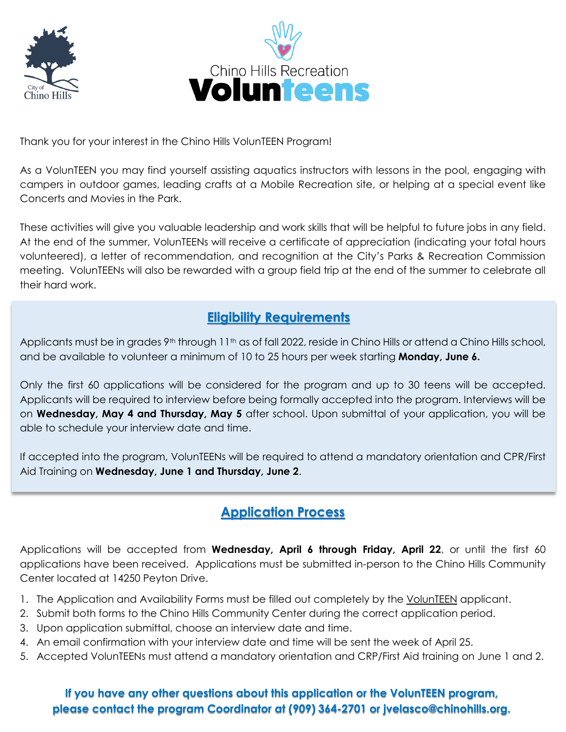



Thank you for your interest in the Chino Hills VolunTEEN Program!

As a VolunTEEN you may find yourself assisting aquatics instructors with lessons in the pool, engaging with campers in outdoor games, leading crafts at a Mobile Recreation site, or helping at a special event like Concerts and Movies in the Park.

These activities will give you valuable leadership and work skills that will be helpful to future jobs in any field. At the end of the summer, VolunTEENs will receive a certificate of appreciation (indicating your total hours volunteered), a letter of recommendation, and recognition at the City's Parks & Recreation Commission meeting. VolunTEENs will also be rewarded with a group field trip at the end of the summer to celebrate all their hard work.

## **Eligibility Requirements**

Applicants must be in grades 9<sup>th</sup> through 11<sup>th</sup> as of fall 2022, reside in Chino Hills or attend a Chino Hills school, and be available to volunteer a minimum of 10 to 25 hours per week starting **Monday, June 6.**

Only the first 60 applications will be considered for the program and up to 30 teens will be accepted. Applicants will be required to interview before being formally accepted into the program. Interviews will be on **Wednesday, May 4 and Thursday, May 5** after school. Upon submittal of your application, you will be able to schedule your interview date and time.

If accepted into the program, VolunTEENs will be required to attend a mandatory orientation and CPR/First Aid Training on **Wednesday, June 1 and Thursday, June 2**.

## **Application Process**

Applications will be accepted from **Wednesday, April 6 through Friday, April 22**, or until the first 60 applications have been received. Applications must be submitted in-person to the Chino Hills Community Center located at 14250 Peyton Drive.

- 1. The Application and Availability Forms must be filled out completely by the VolunTEEN applicant.
- 2. Submit both forms to the Chino Hills Community Center during the correct application period.
- 3. Upon application submittal, choose an interview date and time.
- 4. An email confirmation with your interview date and time will be sent the week of April 25.
- 5. Accepted VolunTEENs must attend a mandatory orientation and CRP/First Aid training on June 1 and 2.

### **If you have any other questions about this application or the VolunTEEN program, please contact the program Coordinator at (909) 364-2701 or jvelasco@chinohills.org.**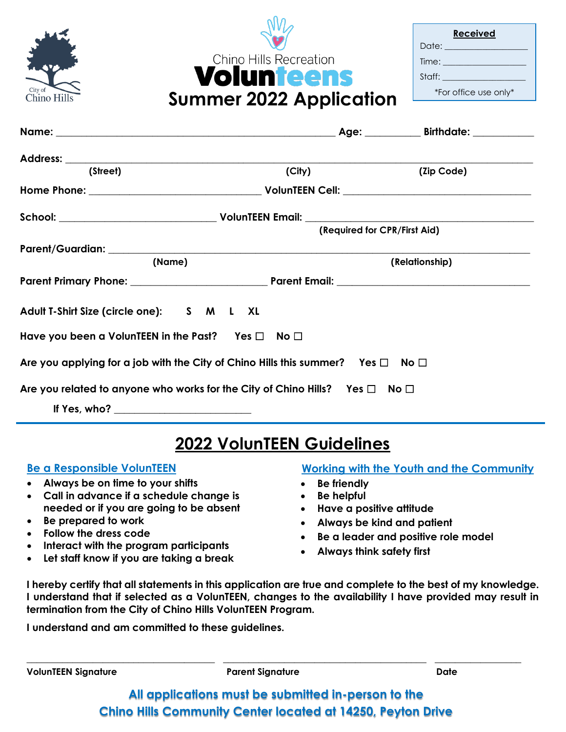

**Received** Date: Time: Staff: \*For office use only\*

| (Street)                                                                                                  | (City) | (Zip Code)                   |
|-----------------------------------------------------------------------------------------------------------|--------|------------------------------|
|                                                                                                           |        |                              |
|                                                                                                           |        |                              |
|                                                                                                           |        | (Required for CPR/First Aid) |
|                                                                                                           |        |                              |
| (Name)                                                                                                    |        | (Relationship)               |
|                                                                                                           |        |                              |
| Adult T-Shirt Size (circle one): S M L XL                                                                 |        |                              |
| Have you been a VolunTEEN in the Past? $\quad$ Yes $\Box$ $\quad$ No $\Box$                               |        |                              |
| Are you applying for a job with the City of Chino Hills this summer? $\quad$ Yes $\Box$ $\quad$ No $\Box$ |        |                              |
| Are you related to anyone who works for the City of Chino Hills? Yes $\square$ No $\square$               |        |                              |
|                                                                                                           |        |                              |

**Summer 2022 Application**

Chino Hills Recreation **Volunteens** 

# **2022 VolunTEEN Guidelines**

### **Be a Responsible VolunTEEN**

- **Always be on time to your shifts**
- **Call in advance if a schedule change is needed or if you are going to be absent**
- **Be prepared to work**
- **Follow the dress code**
- **Interact with the program participants**
- **Let staff know if you are taking a break**

### **Working with the Youth and the Community**

- **Be friendly**
- **Be helpful**
- **Have a positive attitude**
- **Always be kind and patient**
- **Be a leader and positive role model**
- **Always think safety first**

**I hereby certify that all statements in this application are true and complete to the best of my knowledge. I understand that if selected as a VolunTEEN, changes to the availability I have provided may result in termination from the City of Chino Hills VolunTEEN Program.**

**I understand and am committed to these guidelines.**

**VolunTEEN Signature Parent Signature Date**

**All applications must be submitted in-person to the Chino Hills Community Center located at 14250, Peyton Drive** 

\_\_\_\_\_\_\_\_\_\_\_\_\_\_\_\_\_\_\_\_\_\_\_\_\_\_\_\_\_\_\_\_\_\_\_\_\_ \_\_\_\_\_\_\_\_\_\_\_\_\_\_\_\_\_\_\_\_\_\_\_\_\_\_\_\_\_\_\_\_\_\_\_\_\_\_\_\_ \_\_\_\_\_\_\_\_\_\_\_\_\_\_\_\_\_